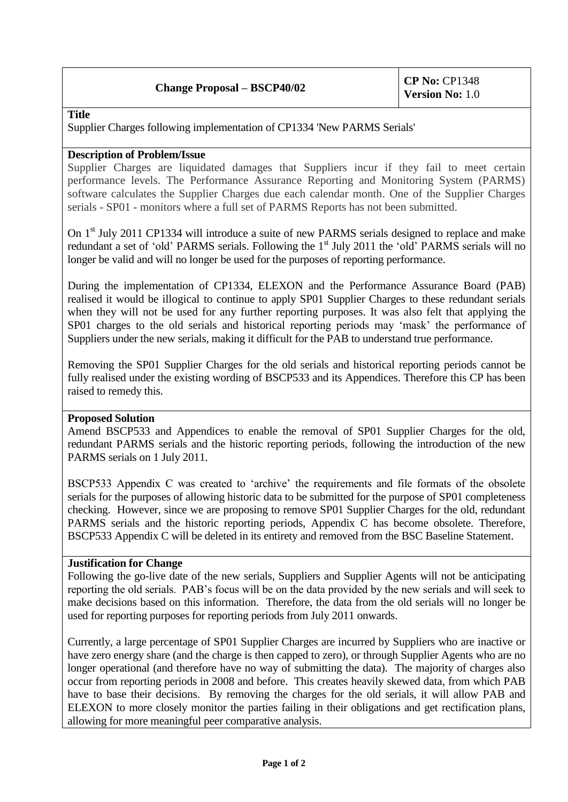# **Change Proposal – BSCP40/02 CP No:** CP1348

**Title** 

Supplier Charges following implementation of CP1334 'New PARMS Serials'

## **Description of Problem/Issue**

Supplier Charges are liquidated damages that Suppliers incur if they fail to meet certain performance levels. The Performance Assurance Reporting and Monitoring System (PARMS) software calculates the Supplier Charges due each calendar month. One of the Supplier Charges serials - SP01 - monitors where a full set of PARMS Reports has not been submitted.

On 1<sup>st</sup> July 2011 CP1334 will introduce a suite of new PARMS serials designed to replace and make redundant a set of 'old' PARMS serials. Following the 1<sup>st</sup> July 2011 the 'old' PARMS serials will no longer be valid and will no longer be used for the purposes of reporting performance.

During the implementation of CP1334, ELEXON and the Performance Assurance Board (PAB) realised it would be illogical to continue to apply SP01 Supplier Charges to these redundant serials when they will not be used for any further reporting purposes. It was also felt that applying the SP01 charges to the old serials and historical reporting periods may 'mask' the performance of Suppliers under the new serials, making it difficult for the PAB to understand true performance.

Removing the SP01 Supplier Charges for the old serials and historical reporting periods cannot be fully realised under the existing wording of BSCP533 and its Appendices. Therefore this CP has been raised to remedy this.

## **Proposed Solution**

Amend BSCP533 and Appendices to enable the removal of SP01 Supplier Charges for the old, redundant PARMS serials and the historic reporting periods, following the introduction of the new PARMS serials on 1 July 2011.

BSCP533 Appendix C was created to 'archive' the requirements and file formats of the obsolete serials for the purposes of allowing historic data to be submitted for the purpose of SP01 completeness checking. However, since we are proposing to remove SP01 Supplier Charges for the old, redundant PARMS serials and the historic reporting periods, Appendix C has become obsolete. Therefore, BSCP533 Appendix C will be deleted in its entirety and removed from the BSC Baseline Statement.

## **Justification for Change**

Following the go-live date of the new serials, Suppliers and Supplier Agents will not be anticipating reporting the old serials. PAB's focus will be on the data provided by the new serials and will seek to make decisions based on this information. Therefore, the data from the old serials will no longer be used for reporting purposes for reporting periods from July 2011 onwards.

Currently, a large percentage of SP01 Supplier Charges are incurred by Suppliers who are inactive or have zero energy share (and the charge is then capped to zero), or through Supplier Agents who are no longer operational (and therefore have no way of submitting the data). The majority of charges also occur from reporting periods in 2008 and before. This creates heavily skewed data, from which PAB have to base their decisions. By removing the charges for the old serials, it will allow PAB and ELEXON to more closely monitor the parties failing in their obligations and get rectification plans, allowing for more meaningful peer comparative analysis.